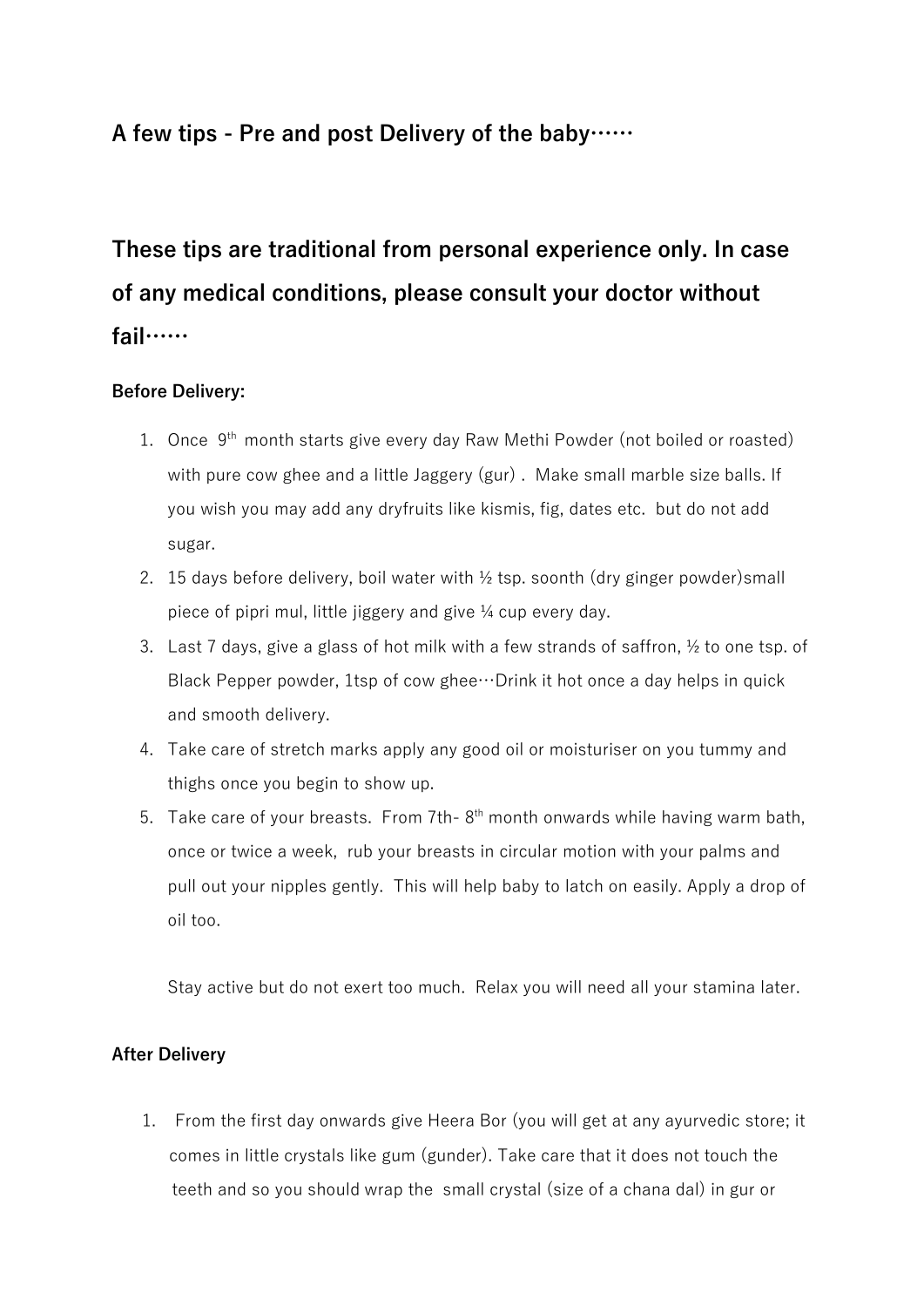# **A few tips - Pre and post Delivery of the baby……**

**These tips are traditional from personal experience only. In case of any medical conditions, please consult your doctor without fail……**

# **Before Delivery:**

- 1. Once  $9<sup>th</sup>$  month starts give every day Raw Methi Powder (not boiled or roasted) with pure cow ghee and a little Jaggery (gur) . Make small marble size balls. If you wish you may add any dryfruits like kismis, fig, dates etc. but do not add sugar.
- 2. 15 days before delivery, boil water with ½ tsp. soonth (dry ginger powder)small piece of pipri mul, little jiggery and give ¼ cup every day.
- 3. Last 7 days, give a glass of hot milk with a few strands of saffron, ½ to one tsp. of Black Pepper powder, 1tsp of cow ghee…Drink it hot once a day helps in quick and smooth delivery.
- 4. Take care of stretch marks apply any good oil or moisturiser on you tummy and thighs once you begin to show up.
- 5. Take care of your breasts. From 7th- $8<sup>th</sup>$  month onwards while having warm bath, once or twice a week, rub your breasts in circular motion with your palms and pull out your nipples gently. This will help baby to latch on easily. Apply a drop of oil too.

Stay active but do not exert too much. Relax you will need all your stamina later.

## **After Delivery**

1. From the first day onwards give Heera Bor (you will get at any ayurvedic store; it comes in little crystals like gum (gunder). Take care that it does not touch the teeth and so you should wrap the small crystal (size of a chana dal) in gur or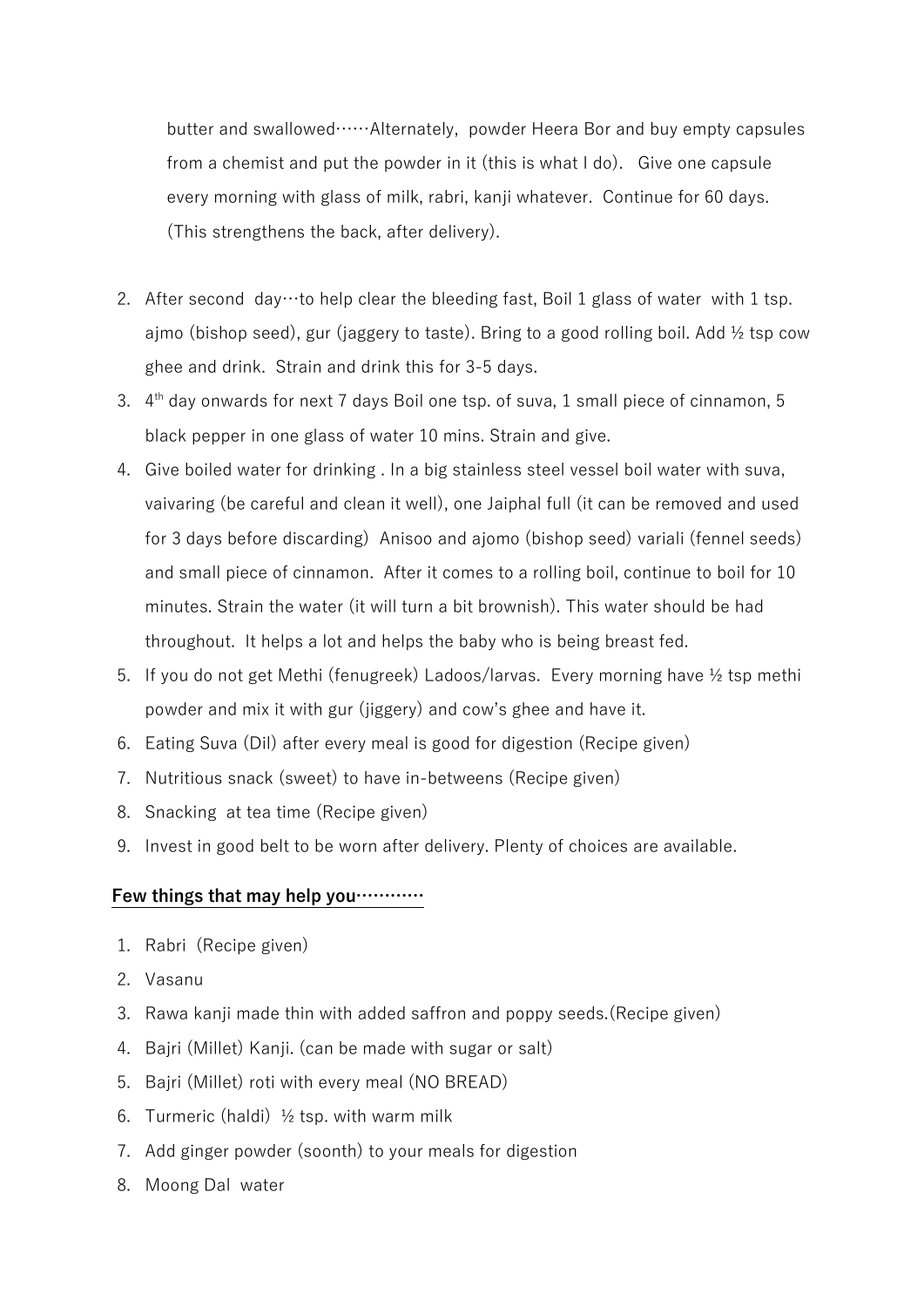butter and swallowed……Alternately, powder Heera Bor and buy empty capsules from a chemist and put the powder in it (this is what I do). Give one capsule every morning with glass of milk, rabri, kanji whatever. Continue for 60 days. (This strengthens the back, after delivery).

- 2. After second day to help clear the bleeding fast, Boil 1 glass of water with 1 tsp. ajmo (bishop seed), gur (jaggery to taste). Bring to a good rolling boil. Add  $\frac{1}{2}$  tsp cow ghee and drink. Strain and drink this for 3-5 days.
- 3.  $4<sup>th</sup>$  day onwards for next 7 days Boil one tsp. of suva, 1 small piece of cinnamon, 5 black pepper in one glass of water 10 mins. Strain and give.
- 4. Give boiled water for drinking . In a big stainless steel vessel boil water with suva, vaivaring (be careful and clean it well), one Jaiphal full (it can be removed and used for 3 days before discarding) Anisoo and ajomo (bishop seed) variali (fennel seeds) and small piece of cinnamon. After it comes to a rolling boil, continue to boil for 10 minutes. Strain the water (it will turn a bit brownish). This water should be had throughout. It helps a lot and helps the baby who is being breast fed.
- 5. If you do not get Methi (fenugreek) Ladoos/larvas. Every morning have ½ tsp methi powder and mix it with gur (jiggery) and cow's ghee and have it.
- 6. Eating Suva (Dil) after every meal is good for digestion (Recipe given)
- 7. Nutritious snack (sweet) to have in-betweens (Recipe given)
- 8. Snacking at tea time (Recipe given)
- 9. Invest in good belt to be worn after delivery. Plenty of choices are available.

## **Few things that may help you…………**

- 1. Rabri (Recipe given)
- 2. Vasanu
- 3. Rawa kanji made thin with added saffron and poppy seeds.(Recipe given)
- 4. Bajri (Millet) Kanji. (can be made with sugar or salt)
- 5. Bajri (Millet) roti with every meal (NO BREAD)
- 6. Turmeric (haldi)  $\frac{1}{2}$  tsp. with warm milk
- 7. Add ginger powder (soonth) to your meals for digestion
- 8. Moong Dal water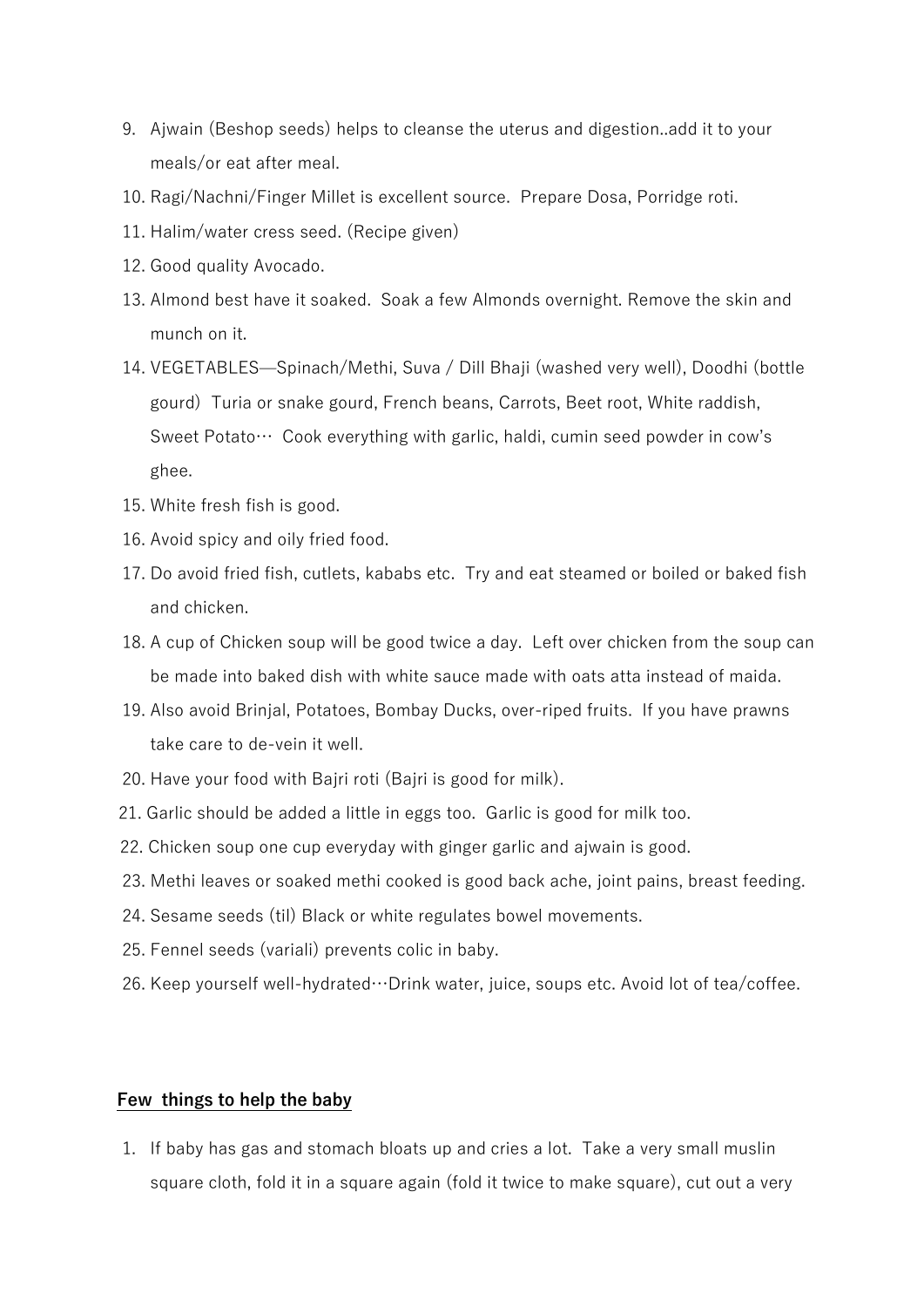- 9. Ajwain (Beshop seeds) helps to cleanse the uterus and digestion..add it to your meals/or eat after meal.
- 10. Ragi/Nachni/Finger Millet is excellent source. Prepare Dosa, Porridge roti.
- 11. Halim/water cress seed. (Recipe given)
- 12. Good quality Avocado.
- 13. Almond best have it soaked. Soak a few Almonds overnight. Remove the skin and munch on it.
- 14. VEGETABLES—Spinach/Methi, Suva / Dill Bhaji (washed very well), Doodhi (bottle gourd) Turia or snake gourd, French beans, Carrots, Beet root, White raddish, Sweet Potato… Cook everything with garlic, haldi, cumin seed powder in cow's ghee.
- 15. White fresh fish is good.
- 16. Avoid spicy and oily fried food.
- 17. Do avoid fried fish, cutlets, kababs etc. Try and eat steamed or boiled or baked fish and chicken.
- 18. A cup of Chicken soup will be good twice a day. Left over chicken from the soup can be made into baked dish with white sauce made with oats atta instead of maida.
- 19. Also avoid Brinjal, Potatoes, Bombay Ducks, over-riped fruits. If you have prawns take care to de-vein it well.
- 20. Have your food with Bajri roti (Bajri is good for milk).
- 21. Garlic should be added a little in eggs too. Garlic is good for milk too.
- 22. Chicken soup one cup everyday with ginger garlic and ajwain is good.
- 23. Methi leaves or soaked methi cooked is good back ache, joint pains, breast feeding.
- 24. Sesame seeds (til) Black or white regulates bowel movements.
- 25. Fennel seeds (variali) prevents colic in baby.
- 26. Keep yourself well-hydrated…Drink water, juice, soups etc. Avoid lot of tea/coffee.

### **Few things to help the baby**

1. If baby has gas and stomach bloats up and cries a lot. Take a very small muslin square cloth, fold it in a square again (fold it twice to make square), cut out a very